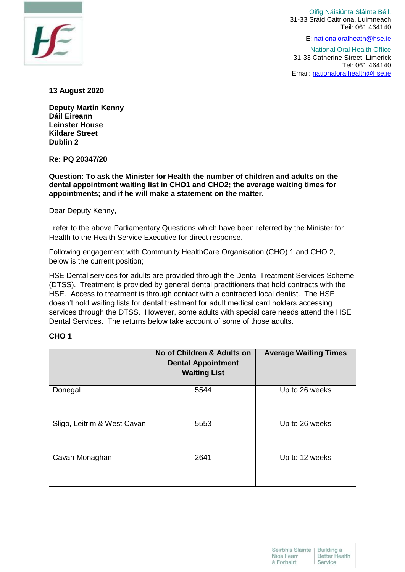

Oifig Náisiúnta Sláinte Béil, 31-33 Sráid Caitriona, Luimneach Teil: 061 464140

E: [nationaloralheath@hse.ie](mailto:nationaloralheath@hse.ie) 

National Oral Health Office 31-33 Catherine Street, Limerick Tel: 061 464140 Email: [nationaloralhealth@hse.ie](mailto:nationaloralhealth@hse.ie)

**13 August 2020**

**Deputy Martin Kenny Dáil Eireann Leinster House Kildare Street Dublin 2**

**Re: PQ 20347/20**

**Question: To ask the Minister for Health the number of children and adults on the dental appointment waiting list in CHO1 and CHO2; the average waiting times for appointments; and if he will make a statement on the matter.**

Dear Deputy Kenny,

I refer to the above Parliamentary Questions which have been referred by the Minister for Health to the Health Service Executive for direct response.

Following engagement with Community HealthCare Organisation (CHO) 1 and CHO 2, below is the current position;

HSE Dental services for adults are provided through the Dental Treatment Services Scheme (DTSS). Treatment is provided by general dental practitioners that hold contracts with the HSE. Access to treatment is through contact with a contracted local dentist. The HSE doesn't hold waiting lists for dental treatment for adult medical card holders accessing services through the DTSS. However, some adults with special care needs attend the HSE Dental Services. The returns below take account of some of those adults.

## **CHO 1**

|                             | No of Children & Adults on<br><b>Dental Appointment</b><br><b>Waiting List</b> | <b>Average Waiting Times</b> |
|-----------------------------|--------------------------------------------------------------------------------|------------------------------|
| Donegal                     | 5544                                                                           | Up to 26 weeks               |
| Sligo, Leitrim & West Cavan | 5553                                                                           | Up to 26 weeks               |
| Cavan Monaghan              | 2641                                                                           | Up to 12 weeks               |